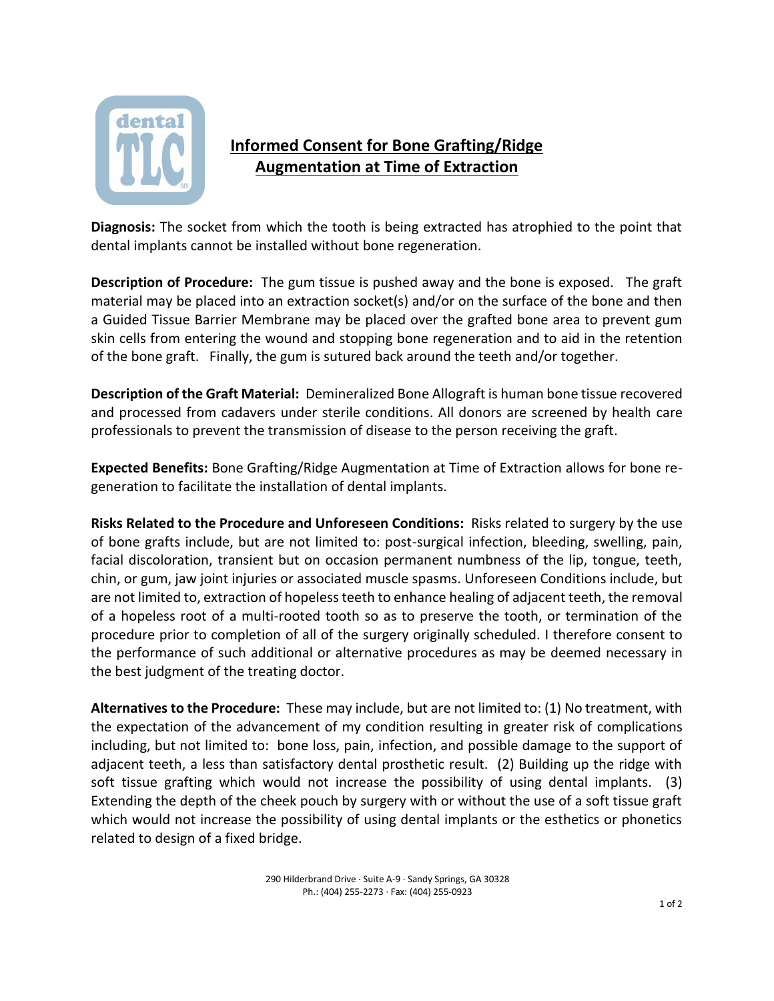

## **Informed Consent for Bone Grafting/Ridge Augmentation at Time of Extraction**

**Diagnosis:** The socket from which the tooth is being extracted has atrophied to the point that dental implants cannot be installed without bone regeneration.

**Description of Procedure:** The gum tissue is pushed away and the bone is exposed. The graft material may be placed into an extraction socket(s) and/or on the surface of the bone and then a Guided Tissue Barrier Membrane may be placed over the grafted bone area to prevent gum skin cells from entering the wound and stopping bone regeneration and to aid in the retention of the bone graft. Finally, the gum is sutured back around the teeth and/or together.

**Description of the Graft Material:** Demineralized Bone Allograft is human bone tissue recovered and processed from cadavers under sterile conditions. All donors are screened by health care professionals to prevent the transmission of disease to the person receiving the graft.

**Expected Benefits:** Bone Grafting/Ridge Augmentation at Time of Extraction allows for bone regeneration to facilitate the installation of dental implants.

**Risks Related to the Procedure and Unforeseen Conditions:** Risks related to surgery by the use of bone grafts include, but are not limited to: post-surgical infection, bleeding, swelling, pain, facial discoloration, transient but on occasion permanent numbness of the lip, tongue, teeth, chin, or gum, jaw joint injuries or associated muscle spasms. Unforeseen Conditions include, but are not limited to, extraction of hopeless teeth to enhance healing of adjacent teeth, the removal of a hopeless root of a multi-rooted tooth so as to preserve the tooth, or termination of the procedure prior to completion of all of the surgery originally scheduled. I therefore consent to the performance of such additional or alternative procedures as may be deemed necessary in the best judgment of the treating doctor.

**Alternatives to the Procedure:** These may include, but are not limited to: (1) No treatment, with the expectation of the advancement of my condition resulting in greater risk of complications including, but not limited to: bone loss, pain, infection, and possible damage to the support of adjacent teeth, a less than satisfactory dental prosthetic result. (2) Building up the ridge with soft tissue grafting which would not increase the possibility of using dental implants. (3) Extending the depth of the cheek pouch by surgery with or without the use of a soft tissue graft which would not increase the possibility of using dental implants or the esthetics or phonetics related to design of a fixed bridge.